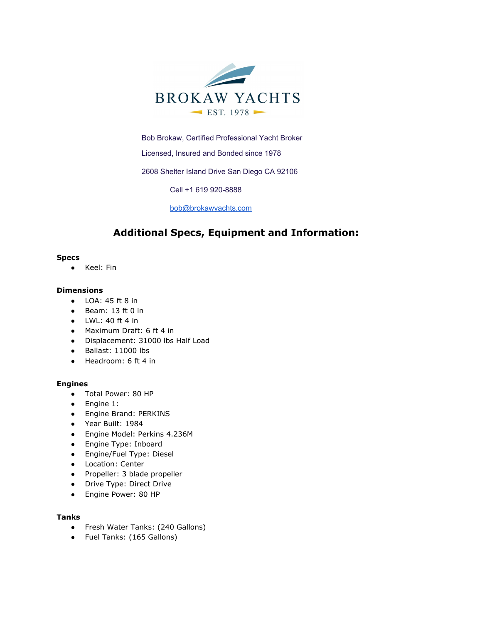

Bob Brokaw, Certified Professional Yacht Broker

Licensed, Insured and Bonded since 1978

2608 Shelter Island Drive San Diego CA 92106

Cell +1 619 920-8888

[bob@brokawyachts.com](mailto:bob@brokawyachts.com)

# **Additional Specs, Equipment and Information:**

#### **Specs**

● Keel: Fin

#### **Dimensions**

- LOA: 45 ft 8 in
- Beam: 13 ft 0 in
- $\bullet$  LWL: 40 ft 4 in
- Maximum Draft: 6 ft 4 in
- Displacement: 31000 lbs Half Load
- Ballast: 11000 lbs
- Headroom: 6 ft 4 in

#### **Engines**

- Total Power: 80 HP
- Engine 1:
- Engine Brand: PERKINS
- Year Built: 1984
- Engine Model: Perkins 4.236M
- Engine Type: Inboard
- Engine/Fuel Type: Diesel
- Location: Center
- Propeller: 3 blade propeller
- Drive Type: Direct Drive
- Engine Power: 80 HP

#### **Tanks**

- Fresh Water Tanks: (240 Gallons)
- Fuel Tanks: (165 Gallons)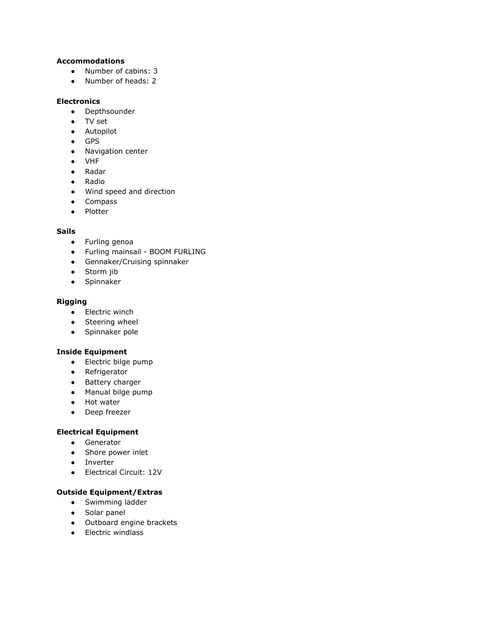# **Accommodations**

- Number of cabins: 3
- Number of heads: 2

# **Electronics**

- Depthsounder
- TV set
- Autopilot
- GPS
- Navigation center
- VHF
- Radar
- Radio
- Wind speed and direction
- Compass
- Plotter

# **Sails**

- Furling genoa
- Furling mainsail BOOM FURLING
- Gennaker/Cruising spinnaker
- Storm jib
- Spinnaker

#### **Rigging**

- Electric winch
- Steering wheel
- Spinnaker pole

#### **Inside Equipment**

- Electric bilge pump
- Refrigerator
- Battery charger
- Manual bilge pump
- Hot water
- Deep freezer

# **Electrical Equipment**

- Generator
- Shore power inlet
- Inverter
- Electrical Circuit: 12V

#### **Outside Equipment/Extras**

- Swimming ladder
- Solar panel
- Outboard engine brackets
- Electric windlass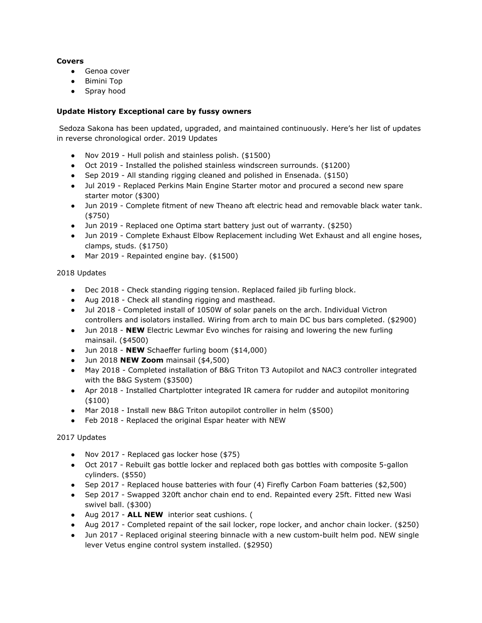#### **Covers**

- Genoa cover
- Bimini Top
- Spray hood

### **Update History Exceptional care by fussy owners**

 Sedoza Sakona has been updated, upgraded, and maintained continuously. Here's her list of updates in reverse chronological order. 2019 Updates

- Nov 2019 Hull polish and stainless polish. (\$1500)
- Oct 2019 Installed the polished stainless windscreen surrounds. (\$1200)
- Sep 2019 All standing rigging cleaned and polished in Ensenada. (\$150)
- Jul 2019 Replaced Perkins Main Engine Starter motor and procured a second new spare starter motor (\$300)
- Jun 2019 Complete fitment of new Theano aft electric head and removable black water tank. (\$750)
- Jun 2019 Replaced one Optima start battery just out of warranty. (\$250)
- Jun 2019 Complete Exhaust Elbow Replacement including Wet Exhaust and all engine hoses, clamps, studs. (\$1750)
- Mar 2019 Repainted engine bay. (\$1500)

#### 2018 Updates

- Dec 2018 Check standing rigging tension. Replaced failed jib furling block.
- Aug 2018 Check all standing rigging and masthead.
- Jul 2018 Completed install of 1050W of solar panels on the arch. Individual Victron controllers and isolators installed. Wiring from arch to main DC bus bars completed. (\$2900)
- Jun 2018 **NEW** Electric Lewmar Evo winches for raising and lowering the new furling mainsail. (\$4500)
- Jun 2018 **NEW** Schaeffer furling boom (\$14,000)
- Jun 2018 **NEW Zoom** mainsail (\$4,500)
- May 2018 Completed installation of B&G Triton T3 Autopilot and NAC3 controller integrated with the B&G System (\$3500)
- Apr 2018 Installed Chartplotter integrated IR camera for rudder and autopilot monitoring (\$100)
- Mar 2018 Install new B&G Triton autopilot controller in helm (\$500)
- Feb 2018 Replaced the original Espar heater with NEW

# 2017 Updates

- Nov 2017 Replaced gas locker hose (\$75)
- Oct 2017 Rebuilt gas bottle locker and replaced both gas bottles with composite 5-gallon cylinders. (\$550)
- Sep 2017 Replaced house batteries with four (4) Firefly Carbon Foam batteries (\$2,500)
- Sep 2017 Swapped 320ft anchor chain end to end. Repainted every 25ft. Fitted new Wasi swivel ball. (\$300)
- Aug 2017 **ALL NEW** interior seat cushions. (
- Aug 2017 Completed repaint of the sail locker, rope locker, and anchor chain locker. (\$250)
- Jun 2017 Replaced original steering binnacle with a new custom-built helm pod. NEW single lever Vetus engine control system installed. (\$2950)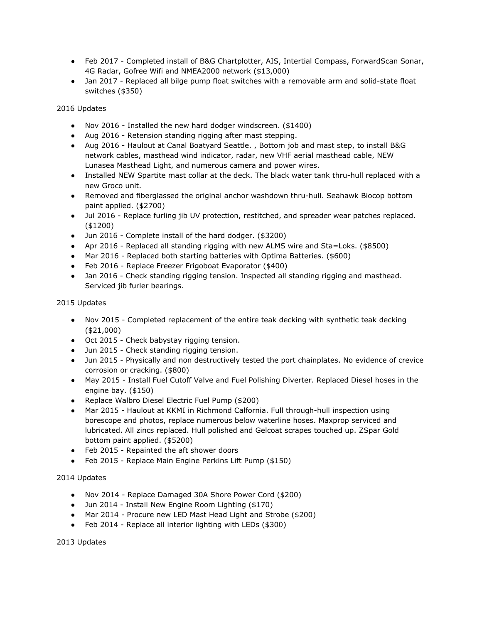- Feb 2017 Completed install of B&G Chartplotter, AIS, Intertial Compass, ForwardScan Sonar, 4G Radar, Gofree Wifi and NMEA2000 network (\$13,000)
- Jan 2017 Replaced all bilge pump float switches with a removable arm and solid-state float switches (\$350)

2016 Updates

- Nov 2016 Installed the new hard dodger windscreen. (\$1400)
- Aug 2016 Retension standing rigging after mast stepping.
- Aug 2016 Haulout at Canal Boatyard Seattle. , Bottom job and mast step, to install B&G network cables, masthead wind indicator, radar, new VHF aerial masthead cable, NEW Lunasea Masthead Light, and numerous camera and power wires.
- Installed NEW Spartite mast collar at the deck. The black water tank thru-hull replaced with a new Groco unit.
- Removed and fiberglassed the original anchor washdown thru-hull. Seahawk Biocop bottom paint applied. (\$2700)
- Jul 2016 Replace furling jib UV protection, restitched, and spreader wear patches replaced. (\$1200)
- Jun 2016 Complete install of the hard dodger. (\$3200)
- Apr 2016 Replaced all standing rigging with new ALMS wire and Sta=Loks. (\$8500)
- Mar 2016 Replaced both starting batteries with Optima Batteries. (\$600)
- Feb 2016 Replace Freezer Frigoboat Evaporator (\$400)
- Jan 2016 Check standing rigging tension. Inspected all standing rigging and masthead. Serviced jib furler bearings.

2015 Updates

- Nov 2015 Completed replacement of the entire teak decking with synthetic teak decking (\$21,000)
- Oct 2015 Check babystay rigging tension.
- Jun 2015 Check standing rigging tension.
- Jun 2015 Physically and non destructively tested the port chainplates. No evidence of crevice corrosion or cracking. (\$800)
- May 2015 Install Fuel Cutoff Valve and Fuel Polishing Diverter. Replaced Diesel hoses in the engine bay. (\$150)
- Replace Walbro Diesel Electric Fuel Pump (\$200)
- Mar 2015 Haulout at KKMI in Richmond Calfornia. Full through-hull inspection using borescope and photos, replace numerous below waterline hoses. Maxprop serviced and lubricated. All zincs replaced. Hull polished and Gelcoat scrapes touched up. ZSpar Gold bottom paint applied. (\$5200)
- Feb 2015 Repainted the aft shower doors
- Feb 2015 Replace Main Engine Perkins Lift Pump (\$150)

2014 Updates

- Nov 2014 Replace Damaged 30A Shore Power Cord (\$200)
- Jun 2014 Install New Engine Room Lighting (\$170)
- Mar 2014 Procure new LED Mast Head Light and Strobe (\$200)
- Feb 2014 Replace all interior lighting with LEDs (\$300)

2013 Updates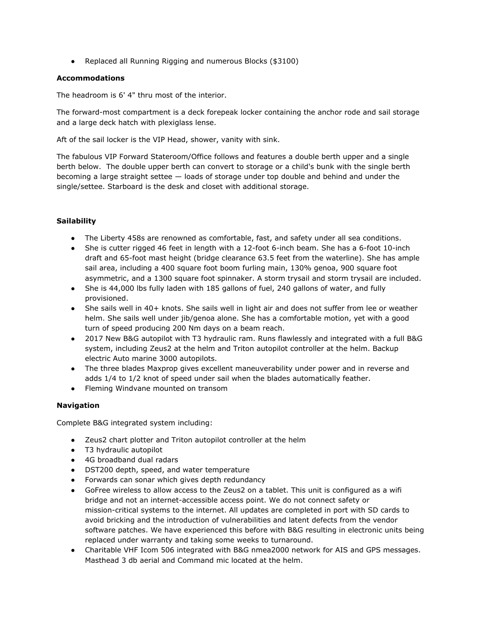● Replaced all Running Rigging and numerous Blocks (\$3100)

#### **Accommodations**

The headroom is 6' 4" thru most of the interior.

The forward-most compartment is a deck forepeak locker containing the anchor rode and sail storage and a large deck hatch with plexiglass lense.

Aft of the sail locker is the VIP Head, shower, vanity with sink.

The fabulous VIP Forward Stateroom/Office follows and features a double berth upper and a single berth below. The double upper berth can convert to storage or a child's bunk with the single berth becoming a large straight settee — loads of storage under top double and behind and under the single/settee. Starboard is the desk and closet with additional storage.

# **Sailability**

- The Liberty 458s are renowned as comfortable, fast, and safety under all sea conditions.
- She is cutter rigged 46 feet in length with a 12-foot 6-inch beam. She has a 6-foot 10-inch draft and 65-foot mast height (bridge clearance 63.5 feet from the waterline). She has ample sail area, including a 400 square foot boom furling main, 130% genoa, 900 square foot asymmetric, and a 1300 square foot spinnaker. A storm trysail and storm trysail are included.
- She is 44,000 lbs fully laden with 185 gallons of fuel, 240 gallons of water, and fully provisioned.
- She sails well in 40+ knots. She sails well in light air and does not suffer from lee or weather helm. She sails well under jib/genoa alone. She has a comfortable motion, yet with a good turn of speed producing 200 Nm days on a beam reach.
- 2017 New B&G autopilot with T3 hydraulic ram. Runs flawlessly and integrated with a full B&G system, including Zeus2 at the helm and Triton autopilot controller at the helm. Backup electric Auto marine 3000 autopilots.
- The three blades Maxprop gives excellent maneuverability under power and in reverse and adds 1/4 to 1/2 knot of speed under sail when the blades automatically feather.
- Fleming Windvane mounted on transom

# **Navigation**

Complete B&G integrated system including:

- Zeus2 chart plotter and Triton autopilot controller at the helm
- T3 hydraulic autopilot
- 4G broadband dual radars
- DST200 depth, speed, and water temperature
- Forwards can sonar which gives depth redundancy
- GoFree wireless to allow access to the Zeus2 on a tablet. This unit is configured as a wifi bridge and not an internet-accessible access point. We do not connect safety or mission-critical systems to the internet. All updates are completed in port with SD cards to avoid bricking and the introduction of vulnerabilities and latent defects from the vendor software patches. We have experienced this before with B&G resulting in electronic units being replaced under warranty and taking some weeks to turnaround.
- Charitable VHF Icom 506 integrated with B&G nmea2000 network for AIS and GPS messages. Masthead 3 db aerial and Command mic located at the helm.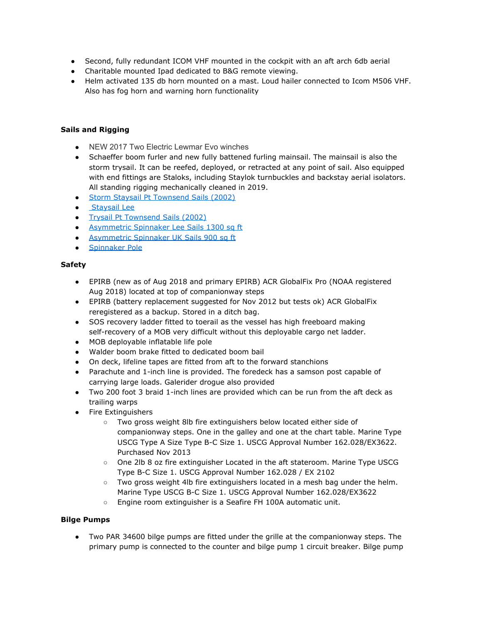- Second, fully redundant ICOM VHF mounted in the cockpit with an aft arch 6db aerial
- Charitable mounted Ipad dedicated to B&G remote viewing.
- Helm activated 135 db horn mounted on a mast. Loud hailer connected to Icom M506 VHF. Also has fog horn and warning horn functionality

# **Sails and Rigging**

- NEW 2017 Two Electric Lewmar Evo winches
- Schaeffer boom furler and new fully battened furling mainsail. The mainsail is also the storm trysail. It can be reefed, deployed, or retracted at any point of sail. Also equipped with end fittings are Staloks, including Staylok turnbuckles and backstay aerial isolators. All standing rigging mechanically cleaned in 2019.
- Storm Staysail Pt Townsend Sails (2002)
- **Staysail Lee**
- Trysail Pt Townsend Sails (2002)
- Asymmetric Spinnaker Lee Sails 1300 sq ft
- Asymmetric Spinnaker UK Sails 900 sq ft
- Spinnaker Pole

#### **Safety**

- EPIRB (new as of Aug 2018 and primary EPIRB) ACR GlobalFix Pro (NOAA registered Aug 2018) located at top of companionway steps
- EPIRB (battery replacement suggested for Nov 2012 but tests ok) ACR GlobalFix reregistered as a backup. Stored in a ditch bag.
- SOS recovery ladder fitted to toerail as the vessel has high freeboard making self-recovery of a MOB very difficult without this deployable cargo net ladder.
- MOB deployable inflatable life pole
- Walder boom brake fitted to dedicated boom bail
- On deck, lifeline tapes are fitted from aft to the forward stanchions
- Parachute and 1-inch line is provided. The foredeck has a samson post capable of carrying large loads. Galerider drogue also provided
- Two 200 foot 3 braid 1-inch lines are provided which can be run from the aft deck as trailing warps
- Fire Extinguishers
	- Two gross weight 8lb fire extinguishers below located either side of companionway steps. One in the galley and one at the chart table. Marine Type USCG Type A Size Type B-C Size 1. USCG Approval Number 162.028/EX3622. Purchased Nov 2013
	- One 2lb 8 oz fire extinguisher Located in the aft stateroom. Marine Type USCG Type B-C Size 1. USCG Approval Number 162.028 / EX 2102
	- Two gross weight 4lb fire extinguishers located in a mesh bag under the helm. Marine Type USCG B-C Size 1. USCG Approval Number 162.028/EX3622
	- Engine room extinguisher is a Seafire FH 100A automatic unit.

#### **Bilge Pumps**

● Two PAR 34600 bilge pumps are fitted under the grille at the companionway steps. The primary pump is connected to the counter and bilge pump 1 circuit breaker. Bilge pump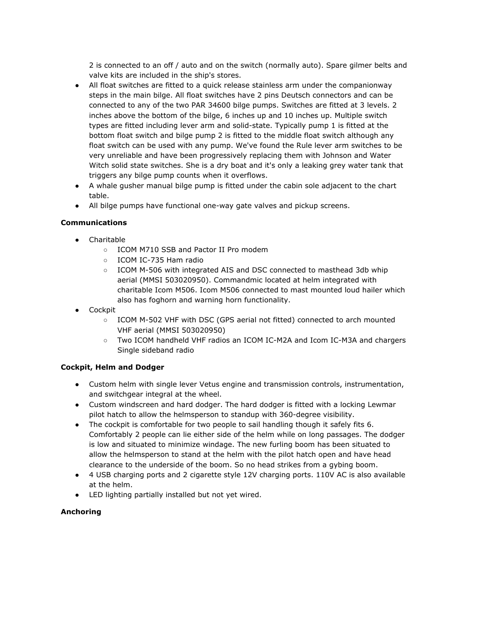2 is connected to an off / auto and on the switch (normally auto). Spare gilmer belts and valve kits are included in the ship's stores.

- All float switches are fitted to a quick release stainless arm under the companionway steps in the main bilge. All float switches have 2 pins Deutsch connectors and can be connected to any of the two PAR 34600 bilge pumps. Switches are fitted at 3 levels. 2 inches above the bottom of the bilge, 6 inches up and 10 inches up. Multiple switch types are fitted including lever arm and solid-state. Typically pump 1 is fitted at the bottom float switch and bilge pump 2 is fitted to the middle float switch although any float switch can be used with any pump. We've found the Rule lever arm switches to be very unreliable and have been progressively replacing them with Johnson and Water Witch solid state switches. She is a dry boat and it's only a leaking grey water tank that triggers any bilge pump counts when it overflows.
- A whale gusher manual bilge pump is fitted under the cabin sole adjacent to the chart table.
- All bilge pumps have functional one-way gate valves and pickup screens.

# **Communications**

- Charitable
	- ICOM M710 SSB and Pactor II Pro modem
	- ICOM IC-735 Ham radio
	- ICOM M-506 with integrated AIS and DSC connected to masthead 3db whip aerial (MMSI 503020950). Commandmic located at helm integrated with charitable Icom M506. Icom M506 connected to mast mounted loud hailer which also has foghorn and warning horn functionality.
- Cockpit
	- ICOM M-502 VHF with DSC (GPS aerial not fitted) connected to arch mounted VHF aerial (MMSI 503020950)
	- Two ICOM handheld VHF radios an ICOM IC-M2A and Icom IC-M3A and chargers Single sideband radio

# **Cockpit, Helm and Dodger**

- Custom helm with single lever Vetus engine and transmission controls, instrumentation, and switchgear integral at the wheel.
- Custom windscreen and hard dodger. The hard dodger is fitted with a locking Lewmar pilot hatch to allow the helmsperson to standup with 360-degree visibility.
- The cockpit is comfortable for two people to sail handling though it safely fits 6. Comfortably 2 people can lie either side of the helm while on long passages. The dodger is low and situated to minimize windage. The new furling boom has been situated to allow the helmsperson to stand at the helm with the pilot hatch open and have head clearance to the underside of the boom. So no head strikes from a gybing boom.
- 4 USB charging ports and 2 cigarette style 12V charging ports. 110V AC is also available at the helm.
- LED lighting partially installed but not yet wired.

# **Anchoring**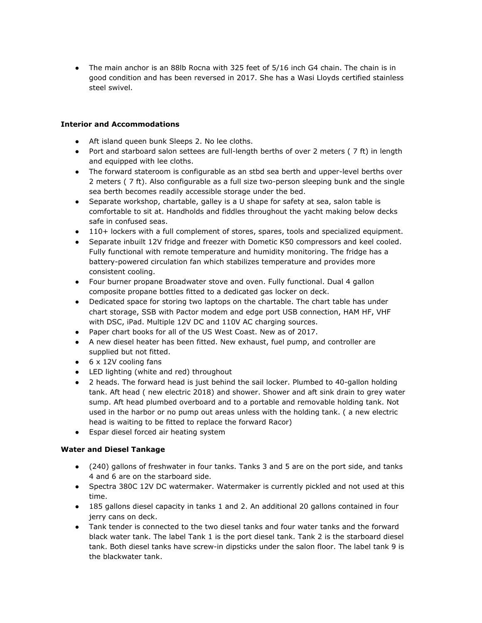• The main anchor is an 88lb Rocna with 325 feet of 5/16 inch G4 chain. The chain is in good condition and has been reversed in 2017. She has a Wasi Lloyds certified stainless steel swivel.

#### **Interior and Accommodations**

- Aft island queen bunk Sleeps 2. No lee cloths.
- Port and starboard salon settees are full-length berths of over 2 meters ( 7 ft) in length and equipped with lee cloths.
- The forward stateroom is configurable as an stbd sea berth and upper-level berths over 2 meters ( 7 ft). Also configurable as a full size two-person sleeping bunk and the single sea berth becomes readily accessible storage under the bed.
- Separate workshop, chartable, galley is a U shape for safety at sea, salon table is comfortable to sit at. Handholds and fiddles throughout the yacht making below decks safe in confused seas.
- 110+ lockers with a full complement of stores, spares, tools and specialized equipment.
- Separate inbuilt 12V fridge and freezer with Dometic K50 compressors and keel cooled. Fully functional with remote temperature and humidity monitoring. The fridge has a battery-powered circulation fan which stabilizes temperature and provides more consistent cooling.
- Four burner propane Broadwater stove and oven. Fully functional. Dual 4 gallon composite propane bottles fitted to a dedicated gas locker on deck.
- Dedicated space for storing two laptops on the chartable. The chart table has under chart storage, SSB with Pactor modem and edge port USB connection, HAM HF, VHF with DSC, iPad. Multiple 12V DC and 110V AC charging sources.
- Paper chart books for all of the US West Coast. New as of 2017.
- A new diesel heater has been fitted. New exhaust, fuel pump, and controller are supplied but not fitted.
- $\bullet$  6 x 12V cooling fans
- LED lighting (white and red) throughout
- 2 heads. The forward head is just behind the sail locker. Plumbed to 40-gallon holding tank. Aft head ( new electric 2018) and shower. Shower and aft sink drain to grey water sump. Aft head plumbed overboard and to a portable and removable holding tank. Not used in the harbor or no pump out areas unless with the holding tank. ( a new electric head is waiting to be fitted to replace the forward Racor)
- Espar diesel forced air heating system

# **Water and Diesel Tankage**

- (240) gallons of freshwater in four tanks. Tanks 3 and 5 are on the port side, and tanks 4 and 6 are on the starboard side.
- Spectra 380C 12V DC watermaker. Watermaker is currently pickled and not used at this time.
- 185 gallons diesel capacity in tanks 1 and 2. An additional 20 gallons contained in four jerry cans on deck.
- Tank tender is connected to the two diesel tanks and four water tanks and the forward black water tank. The label Tank 1 is the port diesel tank. Tank 2 is the starboard diesel tank. Both diesel tanks have screw-in dipsticks under the salon floor. The label tank 9 is the blackwater tank.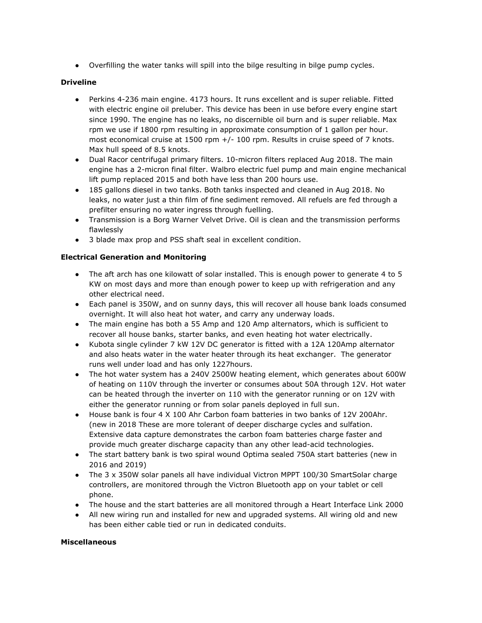● Overfilling the water tanks will spill into the bilge resulting in bilge pump cycles.

# **Driveline**

- Perkins 4-236 main engine. 4173 hours. It runs excellent and is super reliable. Fitted with electric engine oil preluber. This device has been in use before every engine start since 1990. The engine has no leaks, no discernible oil burn and is super reliable. Max rpm we use if 1800 rpm resulting in approximate consumption of 1 gallon per hour. most economical cruise at 1500 rpm +/- 100 rpm. Results in cruise speed of 7 knots. Max hull speed of 8.5 knots.
- Dual Racor centrifugal primary filters. 10-micron filters replaced Aug 2018. The main engine has a 2-micron final filter. Walbro electric fuel pump and main engine mechanical lift pump replaced 2015 and both have less than 200 hours use.
- 185 gallons diesel in two tanks. Both tanks inspected and cleaned in Aug 2018. No leaks, no water just a thin film of fine sediment removed. All refuels are fed through a prefilter ensuring no water ingress through fuelling.
- Transmission is a Borg Warner Velvet Drive. Oil is clean and the transmission performs flawlessly
- 3 blade max prop and PSS shaft seal in excellent condition.

# **Electrical Generation and Monitoring**

- The aft arch has one kilowatt of solar installed. This is enough power to generate 4 to 5 KW on most days and more than enough power to keep up with refrigeration and any other electrical need.
- Each panel is 350W, and on sunny days, this will recover all house bank loads consumed overnight. It will also heat hot water, and carry any underway loads.
- The main engine has both a 55 Amp and 120 Amp alternators, which is sufficient to recover all house banks, starter banks, and even heating hot water electrically.
- Kubota single cylinder 7 kW 12V DC generator is fitted with a 12A 120Amp alternator and also heats water in the water heater through its heat exchanger. The generator runs well under load and has only 1227hours.
- The hot water system has a 240V 2500W heating element, which generates about 600W of heating on 110V through the inverter or consumes about 50A through 12V. Hot water can be heated through the inverter on 110 with the generator running or on 12V with either the generator running or from solar panels deployed in full sun.
- House bank is four 4 X 100 Ahr Carbon foam batteries in two banks of 12V 200Ahr. (new in 2018 These are more tolerant of deeper discharge cycles and sulfation. Extensive data capture demonstrates the carbon foam batteries charge faster and provide much greater discharge capacity than any other lead-acid technologies.
- The start battery bank is two spiral wound Optima sealed 750A start batteries (new in 2016 and 2019)
- The 3 x 350W solar panels all have individual Victron MPPT 100/30 SmartSolar charge controllers, are monitored through the Victron Bluetooth app on your tablet or cell phone.
- The house and the start batteries are all monitored through a Heart Interface Link 2000
- All new wiring run and installed for new and upgraded systems. All wiring old and new has been either cable tied or run in dedicated conduits.

# **Miscellaneous**